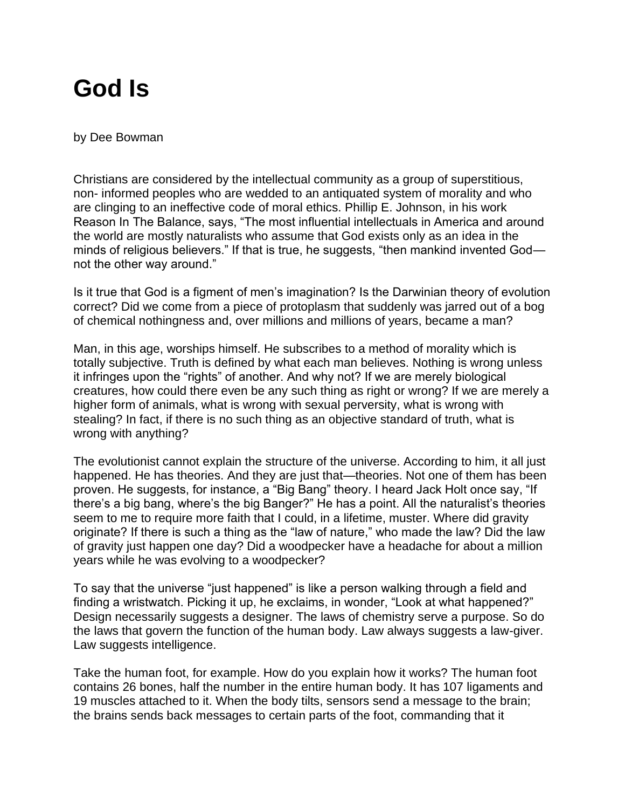## **God Is**

by Dee Bowman

Christians are considered by the intellectual community as a group of superstitious, non- informed peoples who are wedded to an antiquated system of morality and who are clinging to an ineffective code of moral ethics. Phillip E. Johnson, in his work Reason In The Balance, says, "The most influential intellectuals in America and around the world are mostly naturalists who assume that God exists only as an idea in the minds of religious believers." If that is true, he suggests, "then mankind invented God not the other way around."

Is it true that God is a figment of men's imagination? Is the Darwinian theory of evolution correct? Did we come from a piece of protoplasm that suddenly was jarred out of a bog of chemical nothingness and, over millions and millions of years, became a man?

Man, in this age, worships himself. He subscribes to a method of morality which is totally subjective. Truth is defined by what each man believes. Nothing is wrong unless it infringes upon the "rights" of another. And why not? If we are merely biological creatures, how could there even be any such thing as right or wrong? If we are merely a higher form of animals, what is wrong with sexual perversity, what is wrong with stealing? In fact, if there is no such thing as an objective standard of truth, what is wrong with anything?

The evolutionist cannot explain the structure of the universe. According to him, it all just happened. He has theories. And they are just that—theories. Not one of them has been proven. He suggests, for instance, a "Big Bang" theory. I heard Jack Holt once say, "If there's a big bang, where's the big Banger?" He has a point. All the naturalist's theories seem to me to require more faith that I could, in a lifetime, muster. Where did gravity originate? If there is such a thing as the "law of nature," who made the law? Did the law of gravity just happen one day? Did a woodpecker have a headache for about a million years while he was evolving to a woodpecker?

To say that the universe "just happened" is like a person walking through a field and finding a wristwatch. Picking it up, he exclaims, in wonder, "Look at what happened?" Design necessarily suggests a designer. The laws of chemistry serve a purpose. So do the laws that govern the function of the human body. Law always suggests a law-giver. Law suggests intelligence.

Take the human foot, for example. How do you explain how it works? The human foot contains 26 bones, half the number in the entire human body. It has 107 ligaments and 19 muscles attached to it. When the body tilts, sensors send a message to the brain; the brains sends back messages to certain parts of the foot, commanding that it